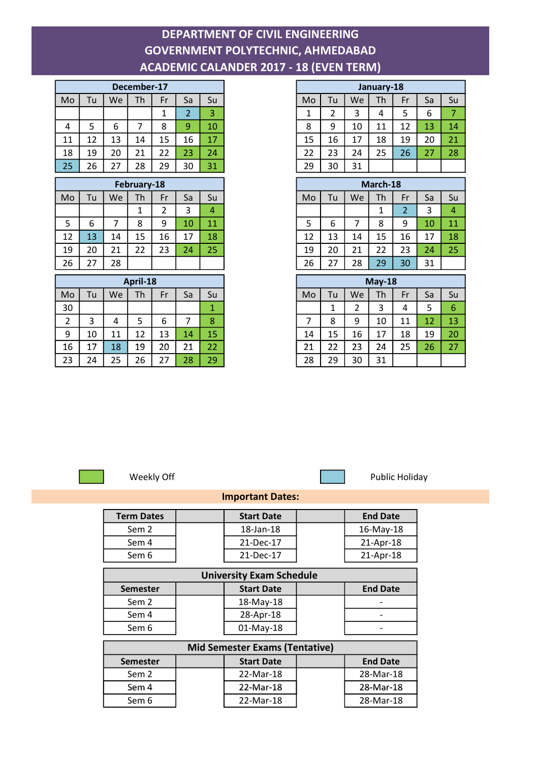## DEPARTMENT OF CIVIL ENGINEERING GOVERNMENT POLYTECHNIC, AHMEDABAD ACADEMIC CALANDER 2017 - 18 (EVEN TERM)

| December-17 |    |    |    |    |    |    |  |
|-------------|----|----|----|----|----|----|--|
| Mo          | Tu | We | Th | Fr | Sa | Su |  |
|             |    |    |    |    | 2  | 3  |  |
| 4           | 5  | 6  |    | 8  | 9  | 10 |  |
| 11          | 12 | 13 | 14 | 15 | 16 | 17 |  |
| 18          | 19 | 20 | 21 | 22 | 23 | 24 |  |
| 25          | 26 | 27 | 28 | 29 | 30 | 31 |  |

| February-18 |    |    |    |    |    |    |  |  |  |
|-------------|----|----|----|----|----|----|--|--|--|
| Mo          | Tu | We | Th | Fr | Sa | Su |  |  |  |
|             |    |    | 1  | 2  | 3  | 4  |  |  |  |
| 5           | 6  |    | 8  | 9  | 10 | 11 |  |  |  |
| 12          | 13 | 14 | 15 | 16 | 17 | 18 |  |  |  |
| 19          | 20 | 21 | 22 | 23 | 24 | 25 |  |  |  |
| 26          | 27 | 28 |    |    |    |    |  |  |  |

| April-18 |    |    |    |    |    |    |  |
|----------|----|----|----|----|----|----|--|
| Mo       | Tu | We | Th | Fr | Sa | Su |  |
| 30       |    |    |    |    |    | 1  |  |
| 2        | 3  | 4  | 5  | 6  |    | 8  |  |
| 9        | 10 | 11 | 12 | 13 | 14 | 15 |  |
| 16       | 17 | 18 | 19 | 20 | 21 | 22 |  |
| 23       | 24 | 25 | 26 | 27 | 28 | 29 |  |

|                |    |    | December-17    |                |                |                |
|----------------|----|----|----------------|----------------|----------------|----------------|
| Mo             | Tu | We | Th             | Fr             | Sa             | Su             |
|                |    |    |                | $\mathbf{1}$   | $\overline{2}$ | 3              |
| 4              | 5  | 6  | $\overline{7}$ | 8              | 9              | 10             |
| 11             | 12 | 13 | 14             | 15             | 16             | 17             |
| 18             | 19 | 20 | 21             | 22             | 23             | 24             |
| 25             | 26 | 27 | 28             | 29             | 30             | 31             |
| February-18    |    |    |                |                |                |                |
| Mo             | Tu | We | Th             | Fr             | Sa             | Su             |
|                |    |    | 1              | $\overline{2}$ | 3              | $\overline{4}$ |
| 5              | 6  | 7  | 8              | 9              | 10             | 11             |
| 12             | 13 | 14 | 15             | 16             | 17             | 18             |
| 19             | 20 | 21 | 22             | 23             | 24             | 25             |
| 26             | 27 | 28 |                |                |                |                |
| April-18       |    |    |                |                |                |                |
| Mo             | Tu | We | Th             | Fr             | Sa             | Su             |
| 30             |    |    |                |                |                | 1              |
| $\overline{2}$ | 3  | 4  | 5              | 6              | 7              | 8              |
| 9              | 10 | 11 | 12             | 13             | 14             | 15             |
| 16             | 17 | 18 | 19             | 20             | 21             | 22             |



Weekly Off **Public Holiday** 

## Important Dates:

| <b>Term Dates</b>               | <b>Start Date</b> | <b>End Date</b> |  |  |  |  |  |  |  |
|---------------------------------|-------------------|-----------------|--|--|--|--|--|--|--|
| Sem 2                           | 18-Jan-18         | 16-May-18       |  |  |  |  |  |  |  |
| Sem 4                           | 21-Dec-17         | 21-Apr-18       |  |  |  |  |  |  |  |
| Sem 6                           | 21-Dec-17         | 21-Apr-18       |  |  |  |  |  |  |  |
| <b>University Exam Schedule</b> |                   |                 |  |  |  |  |  |  |  |
|                                 |                   |                 |  |  |  |  |  |  |  |
| <b>Semester</b>                 | <b>Start Date</b> | <b>End Date</b> |  |  |  |  |  |  |  |
| Sem 2                           | 18-May-18         |                 |  |  |  |  |  |  |  |
| Sem 4                           | 28-Apr-18         |                 |  |  |  |  |  |  |  |

| <b>Mid Semester Exams (Tentative)</b> |  |                   |  |                 |  |  |  |  |
|---------------------------------------|--|-------------------|--|-----------------|--|--|--|--|
| <b>Semester</b>                       |  | <b>Start Date</b> |  | <b>End Date</b> |  |  |  |  |
| Sem 2                                 |  | 22-Mar-18         |  | 28-Mar-18       |  |  |  |  |
| Sem 4                                 |  | 22-Mar-18         |  | 28-Mar-18       |  |  |  |  |
| Sem 6                                 |  | 22-Mar-18         |  | 28-Mar-18       |  |  |  |  |